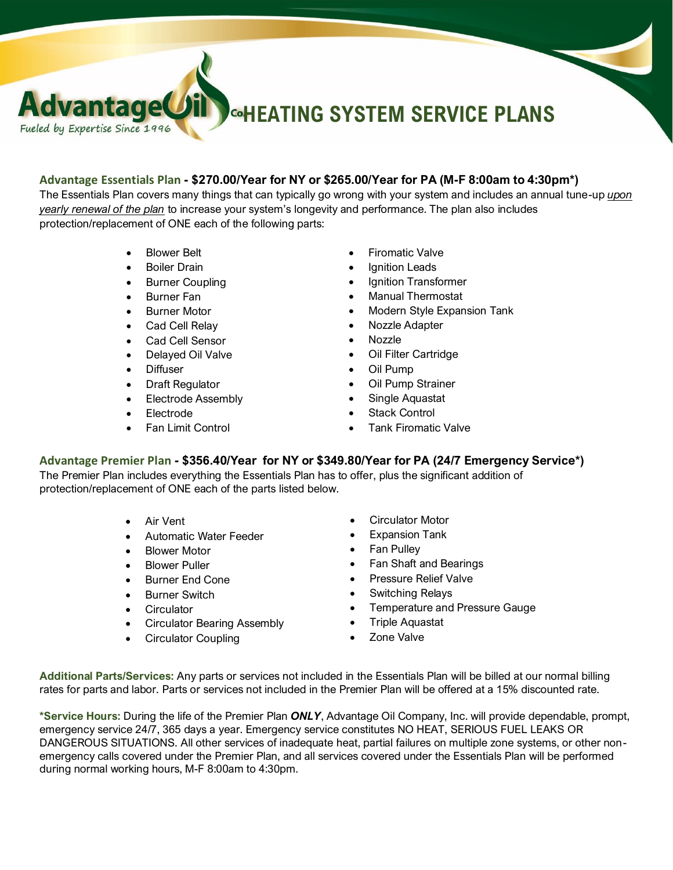# **HEATING SYSTEM SERVICE PLANS**

### **Advantage Essentials Plan - \$270.00/Year for NY or \$265.00/Year for PA (M-F 8:00am to 4:30pm\*)**

The Essentials Plan covers many things that can typically go wrong with your system and includes an annual tune-up *upon yearly renewal of the plan* to increase your system's longevity and performance. The plan also includes protection/replacement of ONE each of the following parts:

• Blower Belt

vantage

Fueled by Expertise Since 1996

- **Boiler Drain**
- **Burner Coupling**
- **Burner Fan**
- Burner Motor
- Cad Cell Relay
- Cad Cell Sensor
- Delayed Oil Valve
- **Diffuser**
- Draft Regulator
- Electrode Assembly
- Electrode
- Fan Limit Control
- **Firomatic Valve**
- **Ignition Leads**
- Ignition Transformer
- Manual Thermostat
- Modern Style Expansion Tank
- Nozzle Adapter
- Nozzle
- Oil Filter Cartridge
- Oil Pump
- Oil Pump Strainer
- Single Aquastat
- **Stack Control**
- Tank Firomatic Valve

#### **Advantage Premier Plan - \$356.40/Year for NY or \$349.80/Year for PA (24/7 Emergency Service\*)**

The Premier Plan includes everything the Essentials Plan has to offer, plus the significant addition of protection/replacement of ONE each of the parts listed below.

- Air Vent
- Automatic Water Feeder
- **Blower Motor**
- Blower Puller
- **Burner End Cone**
- **Burner Switch**
- **Circulator**
- Circulator Bearing Assembly
- Circulator Coupling
- Circulator Motor
- Expansion Tank
- Fan Pulley
- Fan Shaft and Bearings
- Pressure Relief Valve
- Switching Relays
- Temperature and Pressure Gauge
- Triple Aquastat
- Zone Valve

**Additional Parts/Services:** Any parts or services not included in the Essentials Plan will be billed at our normal billing rates for parts and labor. Parts or services not included in the Premier Plan will be offered at a 15% discounted rate.

**\*Service Hours:** During the life of the Premier Plan *ONLY*, Advantage Oil Company, Inc. will provide dependable, prompt, emergency service 24/7, 365 days a year. Emergency service constitutes NO HEAT, SERIOUS FUEL LEAKS OR DANGEROUS SITUATIONS. All other services of inadequate heat, partial failures on multiple zone systems, or other nonemergency calls covered under the Premier Plan, and all services covered under the Essentials Plan will be performed during normal working hours, M-F 8:00am to 4:30pm.